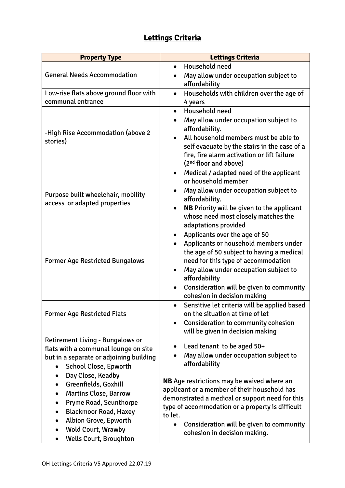## **Lettings Criteria**

| <b>Property Type</b>                                                | <b>Lettings Criteria</b>                                                                    |
|---------------------------------------------------------------------|---------------------------------------------------------------------------------------------|
|                                                                     | Household need<br>$\bullet$                                                                 |
| <b>General Needs Accommodation</b>                                  | May allow under occupation subject to<br>affordability                                      |
| Low-rise flats above ground floor with                              | Households with children over the age of<br>$\bullet$                                       |
| communal entrance                                                   | 4 years                                                                                     |
| -High Rise Accommodation (above 2)<br>stories)                      | Household need<br>$\bullet$<br>May allow under occupation subject to<br>$\bullet$           |
|                                                                     | affordability.                                                                              |
|                                                                     | All household members must be able to                                                       |
|                                                                     | self evacuate by the stairs in the case of a<br>fire, fire alarm activation or lift failure |
|                                                                     | (2 <sup>nd</sup> floor and above)                                                           |
| Purpose built wheelchair, mobility<br>access or adapted properties  | Medical / adapted need of the applicant<br>$\bullet$<br>or household member                 |
|                                                                     | May allow under occupation subject to                                                       |
|                                                                     | affordability.                                                                              |
|                                                                     | <b>NB</b> Priority will be given to the applicant                                           |
|                                                                     | whose need most closely matches the<br>adaptations provided                                 |
| <b>Former Age Restricted Bungalows</b>                              | Applicants over the age of 50<br>$\bullet$                                                  |
|                                                                     | Applicants or household members under<br>$\bullet$                                          |
|                                                                     | the age of 50 subject to having a medical                                                   |
|                                                                     | need for this type of accommodation                                                         |
|                                                                     | May allow under occupation subject to<br>$\bullet$                                          |
|                                                                     | affordability<br>Consideration will be given to community<br>$\bullet$                      |
|                                                                     | cohesion in decision making                                                                 |
| <b>Former Age Restricted Flats</b>                                  | Sensitive let criteria will be applied based                                                |
|                                                                     | on the situation at time of let                                                             |
|                                                                     | <b>Consideration to community cohesion</b>                                                  |
| Retirement Living - Bungalows or                                    | will be given in decision making                                                            |
| flats with a communal lounge on site                                | Lead tenant to be aged 50+                                                                  |
| but in a separate or adjoining building                             | May allow under occupation subject to                                                       |
| <b>School Close, Epworth</b><br>$\bullet$                           | affordability                                                                               |
| Day Close, Keadby                                                   | <b>NB</b> Age restrictions may be waived where an                                           |
| Greenfields, Goxhill<br>$\bullet$                                   | applicant or a member of their household has                                                |
| <b>Martins Close, Barrow</b>                                        | demonstrated a medical or support need for this                                             |
| Pryme Road, Scunthorpe<br><b>Blackmoor Road, Haxey</b><br>$\bullet$ | type of accommodation or a property is difficult                                            |
| Albion Grove, Epworth                                               | to let.                                                                                     |
| <b>Wold Court, Wrawby</b><br>$\bullet$                              | Consideration will be given to community<br>cohesion in decision making.                    |
| <b>Wells Court, Broughton</b>                                       |                                                                                             |